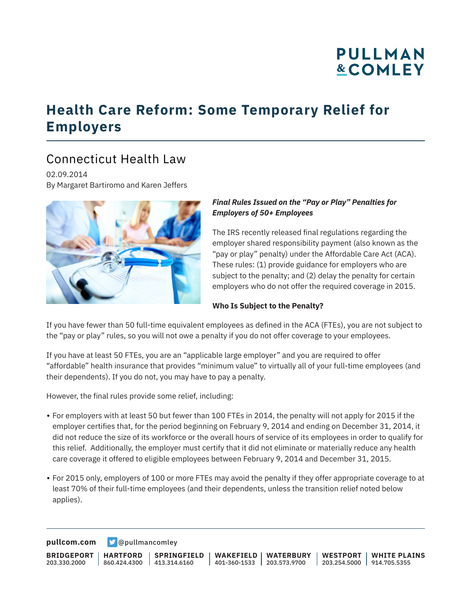# **PULLMAN &COMLEY**

### **Health Care Reform: Some Temporary Relief for Employers**

### Connecticut Health Law

02.09.2014 By Margaret Bartiromo and Karen Jeffers



#### *Final Rules Issued on the "Pay or Play" Penalties for Employers of 50+ Employees*

The IRS recently released final regulations regarding the employer shared responsibility payment (also known as the "pay or play" penalty) under the Affordable Care Act (ACA). These rules: (1) provide guidance for employers who are subject to the penalty; and (2) delay the penalty for certain employers who do not offer the required coverage in 2015.

#### **Who Is Subject to the Penalty?**

If you have fewer than 50 full-time equivalent employees as defined in the ACA (FTEs), you are not subject to the "pay or play" rules, so you will not owe a penalty if you do not offer coverage to your employees.

If you have at least 50 FTEs, you are an "applicable large employer" and you are required to offer "affordable" health insurance that provides "minimum value" to virtually all of your full-time employees (and their dependents). If you do not, you may have to pay a penalty.

However, the final rules provide some relief, including:

- For employers with at least 50 but fewer than 100 FTEs in 2014, the penalty will not apply for 2015 if the employer certifies that, for the period beginning on February 9, 2014 and ending on December 31, 2014, it did not reduce the size of its workforce or the overall hours of service of its employees in order to qualify for this relief. Additionally, the employer must certify that it did not eliminate or materially reduce any health care coverage it offered to eligible employees between February 9, 2014 and December 31, 2015.
- For 2015 only, employers of 100 or more FTEs may avoid the penalty if they offer appropriate coverage to at least 70% of their full-time employees (and their dependents, unless the transition relief noted below applies).

**[pullcom.com](https://www.pullcom.com) g** [@pullmancomley](https://twitter.com/PullmanComley)

**BRIDGEPORT** 203.330.2000 **HARTFORD** 860.424.4300 413.314.6160 **SPRINGFIELD WAKEFIELD** 401-360-1533 203.573.9700 **WATERBURY WESTPORT WHITE PLAINS** 203.254.5000 914.705.5355